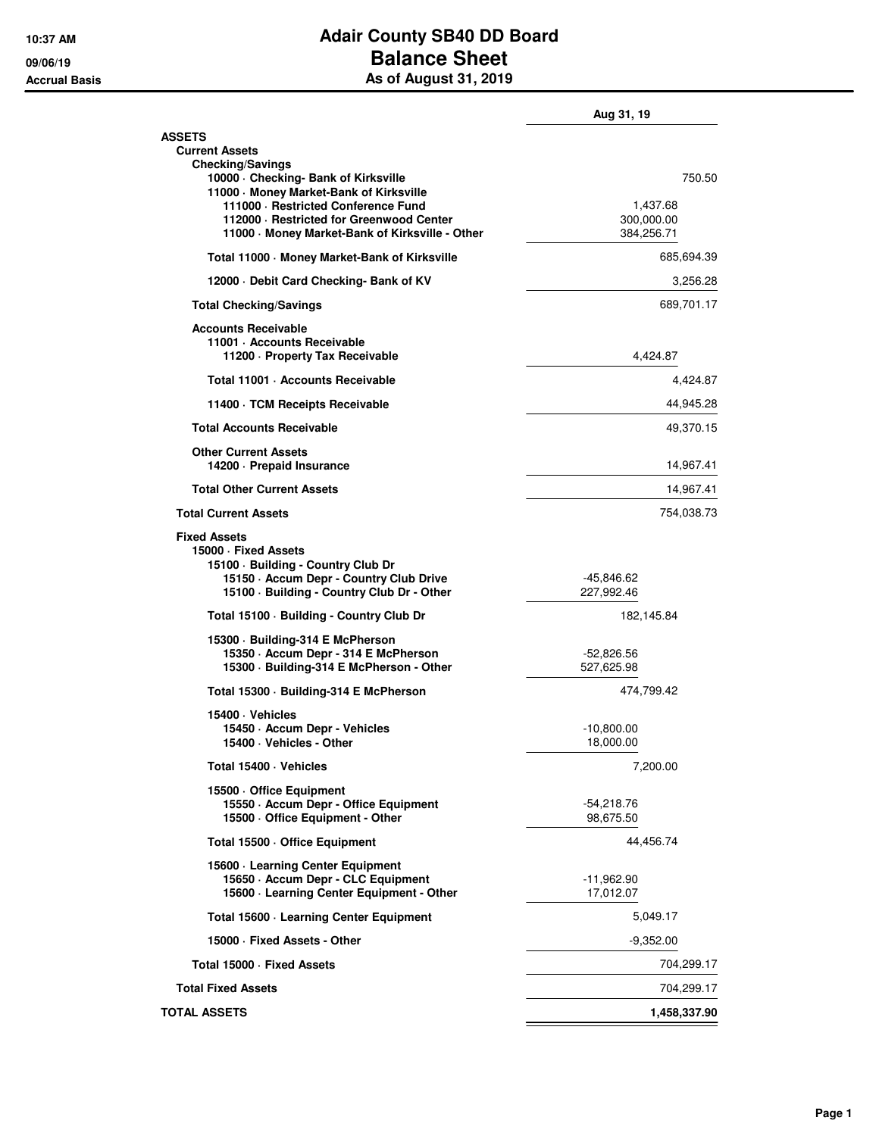## **10:37 AM Adair County SB40 DD Board 09/06/19 Balance Sheet Accrual Basis As of August 31, 2019**

|                                                                                                                                                                                                                     | Aug 31, 19                                     |
|---------------------------------------------------------------------------------------------------------------------------------------------------------------------------------------------------------------------|------------------------------------------------|
| <b>ASSETS</b><br><b>Current Assets</b><br><b>Checking/Savings</b>                                                                                                                                                   |                                                |
| 10000 Checking- Bank of Kirksville<br>11000 - Money Market-Bank of Kirksville<br>111000 · Restricted Conference Fund<br>112000 · Restricted for Greenwood Center<br>11000 - Money Market-Bank of Kirksville - Other | 750.50<br>1,437.68<br>300,000.00<br>384,256.71 |
| Total 11000 Money Market-Bank of Kirksville                                                                                                                                                                         | 685,694.39                                     |
| 12000 Debit Card Checking- Bank of KV                                                                                                                                                                               | 3,256.28                                       |
| <b>Total Checking/Savings</b>                                                                                                                                                                                       | 689,701.17                                     |
| <b>Accounts Receivable</b><br>11001 - Accounts Receivable<br>11200 - Property Tax Receivable                                                                                                                        | 4,424.87                                       |
| Total 11001 · Accounts Receivable                                                                                                                                                                                   | 4,424.87                                       |
| 11400 TCM Receipts Receivable                                                                                                                                                                                       | 44,945.28                                      |
| <b>Total Accounts Receivable</b>                                                                                                                                                                                    | 49,370.15                                      |
| <b>Other Current Assets</b><br>14200 - Prepaid Insurance                                                                                                                                                            | 14,967.41                                      |
| <b>Total Other Current Assets</b>                                                                                                                                                                                   | 14,967.41                                      |
| <b>Total Current Assets</b>                                                                                                                                                                                         | 754,038.73                                     |
| <b>Fixed Assets</b><br>15000 · Fixed Assets<br>15100 · Building - Country Club Dr<br>15150 - Accum Depr - Country Club Drive<br>15100 · Building - Country Club Dr - Other                                          | -45,846.62<br>227,992.46                       |
| Total 15100 · Building - Country Club Dr                                                                                                                                                                            | 182,145.84                                     |
| 15300 · Building-314 E McPherson<br>15350 - Accum Depr - 314 E McPherson<br>15300 · Building-314 E McPherson - Other                                                                                                | $-52,826.56$<br>527,625.98                     |
| Total 15300 Building-314 E McPherson                                                                                                                                                                                | 474,799.42                                     |
| 15400 · Vehicles<br>15450 - Accum Depr - Vehicles<br>15400 · Vehicles - Other                                                                                                                                       | $-10,800.00$<br>18,000.00                      |
| Total 15400 · Vehicles                                                                                                                                                                                              | 7,200.00                                       |
| 15500 Office Equipment<br>15550 - Accum Depr - Office Equipment<br>15500 Office Equipment - Other                                                                                                                   | -54,218.76<br>98,675.50                        |
| Total 15500 - Office Equipment                                                                                                                                                                                      | 44,456.74                                      |
| 15600 Learning Center Equipment<br>15650 - Accum Depr - CLC Equipment<br>15600 - Learning Center Equipment - Other                                                                                                  | $-11,962.90$<br>17,012.07                      |
| Total 15600 - Learning Center Equipment                                                                                                                                                                             | 5,049.17                                       |
| 15000 · Fixed Assets - Other                                                                                                                                                                                        | $-9,352.00$                                    |
| Total 15000 - Fixed Assets                                                                                                                                                                                          | 704,299.17                                     |
| <b>Total Fixed Assets</b>                                                                                                                                                                                           | 704,299.17                                     |
| <b>TOTAL ASSETS</b>                                                                                                                                                                                                 | 1,458,337.90                                   |